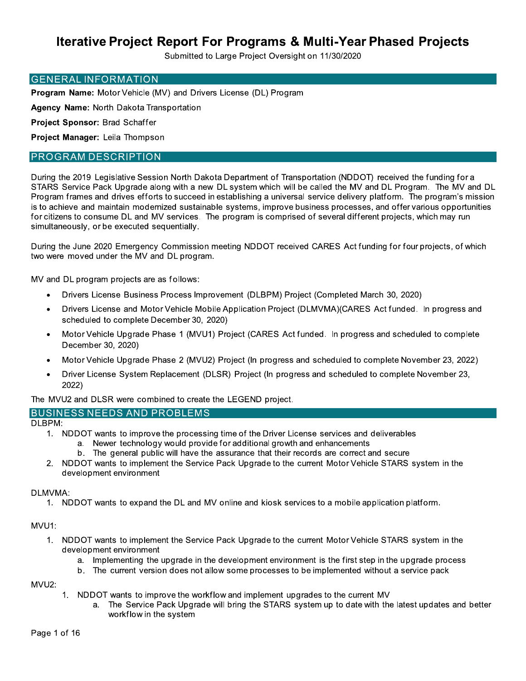Submitted to Large Project Oversight on 11/30/2020

#### **GENERAL INFORMATION**

Program Name: Motor Vehicle (MV) and Drivers License (DL) Program

Agency Name: North Dakota Transportation

Project Sponsor: Brad Schaffer

Project Manager: Leila Thompson

#### **PROGRAM DESCRIPTION**

During the 2019 Legislative Session North Dakota Department of Transportation (NDDOT) received the funding for a STARS Service Pack Upgrade along with a new DL system which will be called the MV and DL Program. The MV and DL Program frames and drives efforts to succeed in establishing a universal service delivery platform. The program's mission is to achieve and maintain modernized sustainable systems, improve business processes, and offer various opportunities for citizens to consume DL and MV services. The program is comprised of several different projects, which may run simultaneously, or be executed sequentially.

During the June 2020 Emergency Commission meeting NDDOT received CARES Act funding for four projects, of which two were moved under the MV and DL program.

MV and DL program projects are as follows:

- Drivers License Business Process Improvement (DLBPM) Project (Completed March 30, 2020)
- Drivers License and Motor Vehicle Mobile Application Project (DLMVMA)(CARES Act funded. In progress and scheduled to complete December 30, 2020)
- Motor Vehicle Upgrade Phase 1 (MVU1) Project (CARES Act funded. In progress and scheduled to complete  $\bullet$ December 30, 2020)
- Motor Vehicle Upgrade Phase 2 (MVU2) Project (In progress and scheduled to complete November 23, 2022)  $\bullet$
- Driver License System Replacement (DLSR) Project (In progress and scheduled to complete November 23, 2022)

The MVU2 and DLSR were combined to create the LEGEND project.

### **BUSINESS NEEDS AND PROBLEMS**

DLBPM:

- 1. NDDOT wants to improve the processing time of the Driver License services and deliverables
	- a. Newer technology would provide for additional growth and enhancements
	- b. The general public will have the assurance that their records are correct and secure
- $2.$ NDDOT wants to implement the Service Pack Upgrade to the current Motor Vehicle STARS system in the development environment

#### DLMVMA:

1. NDDOT wants to expand the DL and MV online and kiosk services to a mobile application platform.

#### MVU1:

- 1. NDDOT wants to implement the Service Pack Upgrade to the current Motor Vehicle STARS system in the development environment
	- a. Implementing the upgrade in the development environment is the first step in the upgrade process
	- b. The current version does not allow some processes to be implemented without a service pack

MVU2:

- 1. NDDOT wants to improve the workflow and implement upgrades to the current MV
	- a. The Service Pack Upgrade will bring the STARS system up to date with the latest updates and better workflow in the system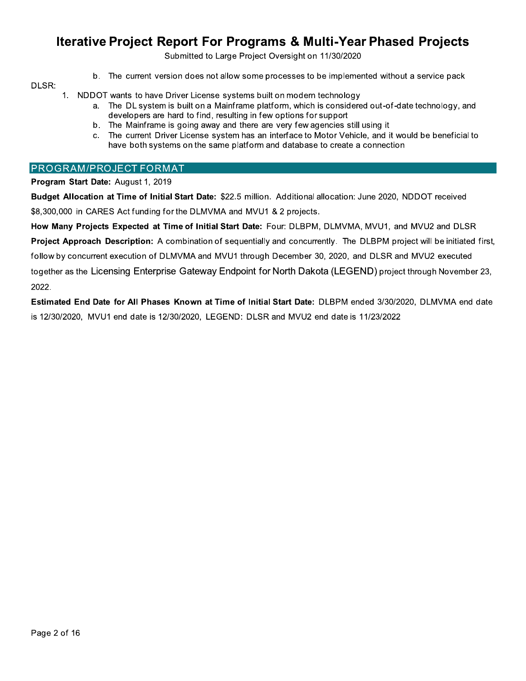Submitted to Large Project Oversight on 11/30/2020

b. The current version does not allow some processes to be implemented without a service pack

#### DLSR:

1. NDDOT wants to have Driver License systems built on modern technology

- a. The DL system is built on a Mainframe platform, which is considered out-of-date technology, and developers are hard to find, resulting in few options for support
- b. The Mainframe is going away and there are very few agencies still using it
- c. The current Driver License system has an interface to Motor Vehicle, and it would be beneficial to have both systems on the same platform and database to create a connection

#### PROGRAM/PROJECT FORMAT

Program Start Date: August 1, 2019

Budget Allocation at Time of Initial Start Date: \$22.5 million. Additional allocation: June 2020, NDDOT received \$8,300,000 in CARES Act funding for the DLMVMA and MVU1 & 2 projects.

How Many Projects Expected at Time of Initial Start Date: Four: DLBPM, DLMVMA, MVU1, and MVU2 and DLSR Project Approach Description: A combination of sequentially and concurrently. The DLBPM project will be initiated first, follow by concurrent execution of DLMVMA and MVU1 through December 30, 2020, and DLSR and MVU2 executed together as the Licensing Enterprise Gateway Endpoint for North Dakota (LEGEND) project through November 23, 2022.

Estimated End Date for All Phases Known at Time of Initial Start Date: DLBPM ended 3/30/2020, DLMVMA end date is 12/30/2020, MVU1 end date is 12/30/2020, LEGEND: DLSR and MVU2 end date is 11/23/2022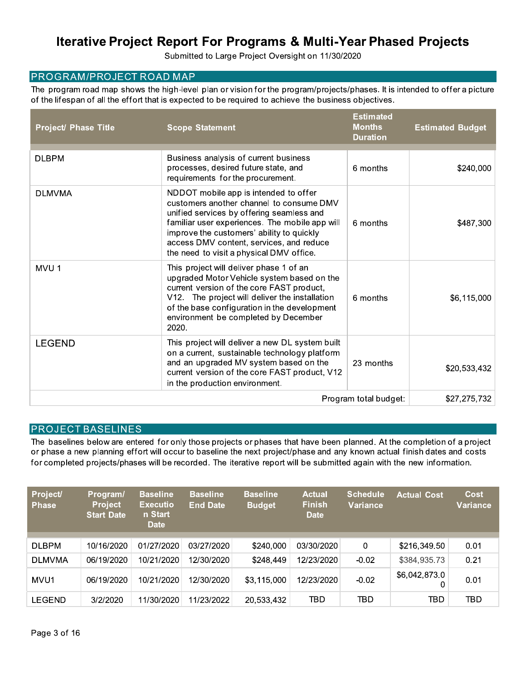Submitted to Large Project Oversight on 11/30/2020

### **PROGRAM/PROJECT ROAD MAP**

The program road map shows the high-level plan or vision for the program/projects/phases. It is intended to offer a picture of the lifespan of all the effort that is expected to be required to achieve the business objectives.

| <b>Project/ Phase Title</b> | <b>Scope Statement</b>                                                                                                                                                                                                                                                                                                | <b>Estimated</b><br><b>Months</b><br><b>Duration</b> | <b>Estimated Budget</b> |
|-----------------------------|-----------------------------------------------------------------------------------------------------------------------------------------------------------------------------------------------------------------------------------------------------------------------------------------------------------------------|------------------------------------------------------|-------------------------|
| <b>DLBPM</b>                | Business analysis of current business<br>processes, desired future state, and<br>requirements for the procurement.                                                                                                                                                                                                    | 6 months                                             | \$240,000               |
| <b>DLMVMA</b>               | NDDOT mobile app is intended to offer<br>customers another channel to consume DMV<br>unified services by offering seamless and<br>familiar user experiences. The mobile app will<br>improve the customers' ability to quickly<br>access DMV content, services, and reduce<br>the need to visit a physical DMV office. | 6 months                                             | \$487,300               |
| MVU <sub>1</sub>            | This project will deliver phase 1 of an<br>upgraded Motor Vehicle system based on the<br>current version of the core FAST product,<br>V12. The project will deliver the installation<br>of the base configuration in the development<br>environment be completed by December<br>2020.                                 | 6 months                                             | \$6,115,000             |
| <b>LEGEND</b>               | This project will deliver a new DL system built<br>on a current, sustainable technology platform<br>and an upgraded MV system based on the<br>current version of the core FAST product, V12<br>in the production environment.                                                                                         | 23 months                                            | \$20,533,432            |
|                             |                                                                                                                                                                                                                                                                                                                       | Program total budget:                                | \$27,275,732            |

### **PROJECT BASELINES**

The baselines below are entered for only those projects or phases that have been planned. At the completion of a project or phase a new planning effort will occur to baseline the next project/phase and any known actual finish dates and costs for completed projects/phases will be recorded. The iterative report will be submitted again with the new information.

| <b>Project/</b><br><b>Phase</b> | Program/<br><b>Project</b><br><b>Start Date</b> | <b>Baseline</b><br><b>Executio</b><br>n Start<br><b>Date</b> | <b>Baseline</b><br><b>End Date</b> | <b>Baseline</b><br><b>Budget</b> | <b>Actual</b><br><b>Finish</b><br><b>Date</b> | <b>Schedule</b><br><b>Variance</b> | <b>Actual Cost</b> | Cost<br>Variance |
|---------------------------------|-------------------------------------------------|--------------------------------------------------------------|------------------------------------|----------------------------------|-----------------------------------------------|------------------------------------|--------------------|------------------|
| <b>DLBPM</b>                    | 10/16/2020                                      | 01/27/2020                                                   | 03/27/2020                         | \$240,000                        | 03/30/2020                                    | 0                                  | \$216,349.50       | 0.01             |
| <b>DLMVMA</b>                   | 06/19/2020                                      | 10/21/2020                                                   | 12/30/2020                         | \$248,449                        | 12/23/2020                                    | $-0.02$                            | \$384,935.73       | 0.21             |
| MVU1                            | 06/19/2020                                      | 10/21/2020                                                   | 12/30/2020                         | \$3,115,000                      | 12/23/2020                                    | $-0.02$                            | \$6,042,873.0      | 0.01             |
| LEGEND                          | 3/2/2020                                        | 11/30/2020                                                   | 11/23/2022                         | 20,533,432                       | TBD                                           | TBD                                | TBD                | <b>TBD</b>       |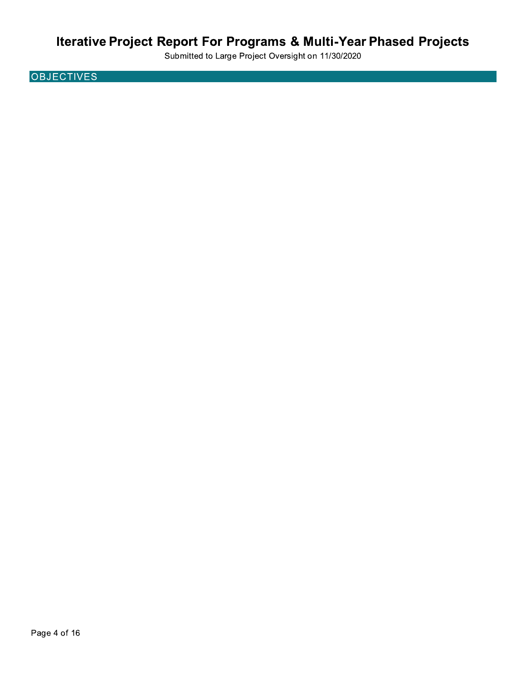Submitted to Large Project Oversight on 11/30/2020

**OBJECTIVES**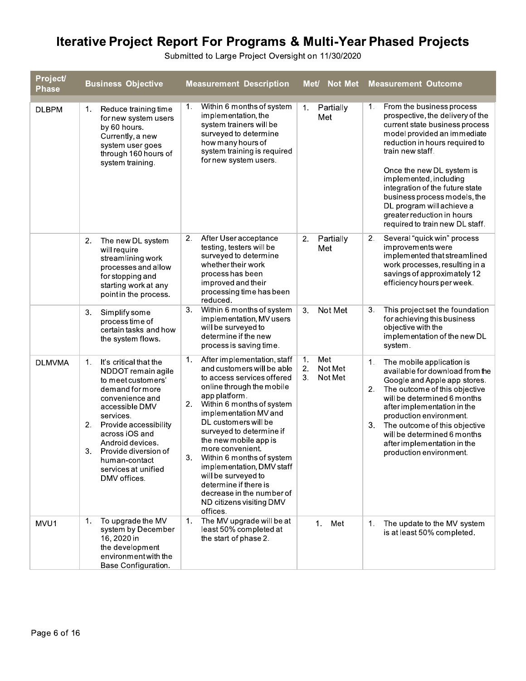| Project/<br><b>Phase</b> | <b>Business Objective</b>                                                                                                                                                                                                                                                                                | <b>Measurement Description</b>                                                                                                                                                                                                                                                                                                                                                                                                                                                                            | Met/ Not Met                                | <b>Measurement Outcome</b>                                                                                                                                                                                                                                                                                                                                                                                         |
|--------------------------|----------------------------------------------------------------------------------------------------------------------------------------------------------------------------------------------------------------------------------------------------------------------------------------------------------|-----------------------------------------------------------------------------------------------------------------------------------------------------------------------------------------------------------------------------------------------------------------------------------------------------------------------------------------------------------------------------------------------------------------------------------------------------------------------------------------------------------|---------------------------------------------|--------------------------------------------------------------------------------------------------------------------------------------------------------------------------------------------------------------------------------------------------------------------------------------------------------------------------------------------------------------------------------------------------------------------|
| <b>DLBPM</b>             | Reduce training time<br>1.<br>for new system users<br>by 60 hours.<br>Currently, a new<br>system user goes<br>through 160 hours of<br>system training.                                                                                                                                                   | Within 6 months of system<br>1.<br>implementation, the<br>system trainers will be<br>surveyed to determine<br>how many hours of<br>system training is required<br>for new system users.                                                                                                                                                                                                                                                                                                                   | Partially<br>1.<br>Met                      | From the business process<br>1.<br>prospective, the delivery of the<br>current state business process<br>model provided an immediate<br>reduction in hours required to<br>train new staff.<br>Once the new DL system is<br>implemented, including<br>integration of the future state<br>business process models, the<br>DL program will achieve a<br>greater reduction in hours<br>required to train new DL staff. |
|                          | 2.<br>The new DL system<br>will require<br>streamlining work<br>processes and allow<br>for stopping and<br>starting work at any<br>pointin the process.                                                                                                                                                  | After User acceptance<br>2.<br>testing, testers will be<br>surveyed to determine<br>whether their work<br>process has been<br>improved and their<br>processing time has been<br>reduced.                                                                                                                                                                                                                                                                                                                  | Partially<br>2.<br>Met                      | Several "quick win" process<br>2.<br>improvements were<br>implemented that streamlined<br>work processes, resulting in a<br>savings of approximately 12<br>efficiency hours per week.                                                                                                                                                                                                                              |
|                          | Simplify some<br>3.<br>process time of<br>certain tasks and how<br>the system flows.                                                                                                                                                                                                                     | Within 6 months of system<br>3.<br>implementation, MV users<br>will be surveyed to<br>determine if the new<br>process is saving time.                                                                                                                                                                                                                                                                                                                                                                     | Not Met<br>3.                               | This project set the foundation<br>З.<br>for achieving this business<br>objective with the<br>implementation of the new DL<br>system.                                                                                                                                                                                                                                                                              |
| <b>DLMVMA</b>            | It's critical that the<br>1.<br>NDDOT remain agile<br>to meet customers'<br>demand for more<br>convenience and<br>accessible DMV<br>services.<br>Provide accessibility<br>2.<br>across iOS and<br>Android devices.<br>3.<br>Provide diversion of<br>human-contact<br>services at unified<br>DMV offices. | $\mathbf{1}$ .<br>After implementation, staff<br>and customers will be able<br>to access services offered<br>online through the mobile<br>app platform.<br>2.<br>Within 6 months of system<br>implementation MV and<br>DL customers will be<br>surveyed to determine if<br>the new mobile app is<br>more convenient.<br>З.<br>Within 6 months of system<br>implementation, DMV staff<br>will be surveyed to<br>determine if there is<br>decrease in the number of<br>ND citizens visiting DMV<br>offices. | Met<br>1.<br>2.<br>Not Met<br>3.<br>Not Met | 1.<br>The mobile application is<br>available for download from the<br>Google and Apple app stores.<br>2.<br>The outcome of this objective<br>will be determined 6 months<br>after implementation in the<br>production environment.<br>3.<br>The outcome of this objective<br>will be determined 6 months<br>after implementation in the<br>production environment.                                                 |
| MVU1                     | To upgrade the MV<br>1.<br>system by December<br>16, 2020 in<br>the development<br>environment with the<br>Base Configuration.                                                                                                                                                                           | The MV upgrade will be at<br>$\mathbf{1}$ .<br>least 50% completed at<br>the start of phase 2.                                                                                                                                                                                                                                                                                                                                                                                                            | 1.<br>Met                                   | The update to the MV system<br>1.<br>is at least 50% completed.                                                                                                                                                                                                                                                                                                                                                    |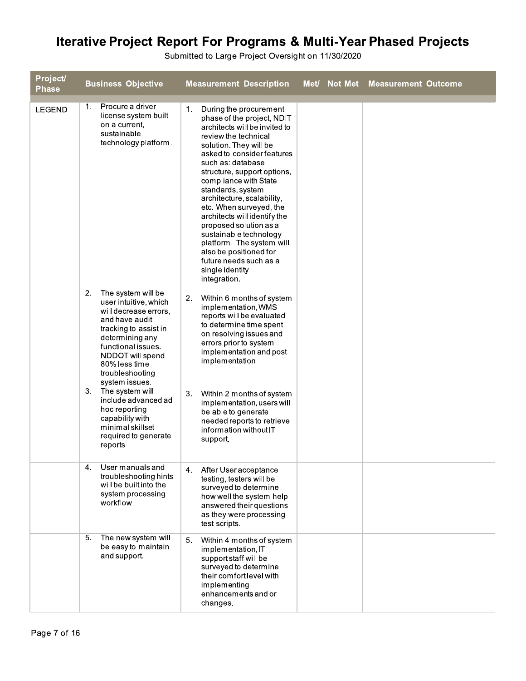| <b>Project/</b><br><b>Phase</b> | <b>Business Objective</b>                                                                                                                                                                                                                | <b>Measurement Description</b>                                                                                                                                                                                                                                                                                                                                                                                                                                                                                                                             | Met/ Not Met Measurement Outcome |
|---------------------------------|------------------------------------------------------------------------------------------------------------------------------------------------------------------------------------------------------------------------------------------|------------------------------------------------------------------------------------------------------------------------------------------------------------------------------------------------------------------------------------------------------------------------------------------------------------------------------------------------------------------------------------------------------------------------------------------------------------------------------------------------------------------------------------------------------------|----------------------------------|
| <b>LEGEND</b>                   | Procure a driver<br>1.<br>license system built<br>on a current,<br>sustainable<br>technology platform.                                                                                                                                   | 1 <sub>1</sub><br>During the procurement<br>phase of the project, NDIT<br>architects will be invited to<br>review the technical<br>solution. They will be<br>asked to consider features<br>such as: database<br>structure, support options,<br>compliance with State<br>standards, system<br>architecture, scalability,<br>etc. When surveyed, the<br>architects will identify the<br>proposed solution as a<br>sustainable technology<br>platform. The system will<br>also be positioned for<br>future needs such as a<br>single identity<br>integration. |                                  |
|                                 | The system will be<br>2.<br>user intuitive, which<br>will decrease errors,<br>and have audit<br>tracking to assist in<br>determining any<br>functional issues.<br>NDDOT will spend<br>80% less time<br>troubleshooting<br>system issues. | Within 6 months of system<br>2.<br>implementation, WMS<br>reports will be evaluated<br>to determine time spent<br>on resolving issues and<br>errors prior to system<br>implementation and post<br>implementation.                                                                                                                                                                                                                                                                                                                                          |                                  |
|                                 | 3.<br>The system will<br>include advanced ad<br>hoc reporting<br>capability with<br>minimal skillset<br>required to generate<br>reports.                                                                                                 | 3.<br>Within 2 months of system<br>implementation, users will<br>be able to generate<br>needed reports to retrieve<br>information without IT<br>support.                                                                                                                                                                                                                                                                                                                                                                                                   |                                  |
|                                 | User manuals and<br>4.<br>troubleshooting hints<br>will be built into the<br>system processing<br>workflow.                                                                                                                              | After User acceptance<br>4.<br>testing, testers will be<br>surveyed to determine<br>how well the system help<br>answered their questions<br>as they were processing<br>test scripts.                                                                                                                                                                                                                                                                                                                                                                       |                                  |
|                                 | 5.<br>The new system will<br>be easy to maintain<br>and support.                                                                                                                                                                         | 5.<br>Within 4 months of system<br>implementation, IT<br>support staff will be<br>surveyed to determine<br>their comfort level with<br>implementing<br>enhancements and or<br>changes.                                                                                                                                                                                                                                                                                                                                                                     |                                  |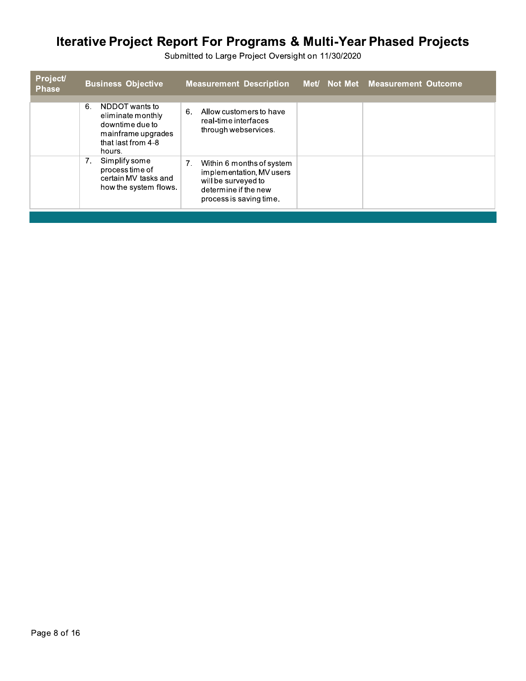| <b>Project/</b><br><b>Phase</b> | <b>Business Objective</b>                                                                                          | <b>Measurement Description</b>                                                                                                        | Met/ Not Met Measurement Outcome |
|---------------------------------|--------------------------------------------------------------------------------------------------------------------|---------------------------------------------------------------------------------------------------------------------------------------|----------------------------------|
|                                 | NDDOT wants to<br>6.<br>eliminate monthly<br>downtime due to<br>mainframe upgrades<br>that last from 4-8<br>hours. | 6.<br>Allow customers to have<br>real-time interfaces<br>through webservices.                                                         |                                  |
|                                 | Simplify some<br>7.<br>process time of<br>certain MV tasks and<br>how the system flows.                            | 7.<br>Within 6 months of system<br>implementation, MV users<br>will be surveyed to<br>determine if the new<br>process is saving time. |                                  |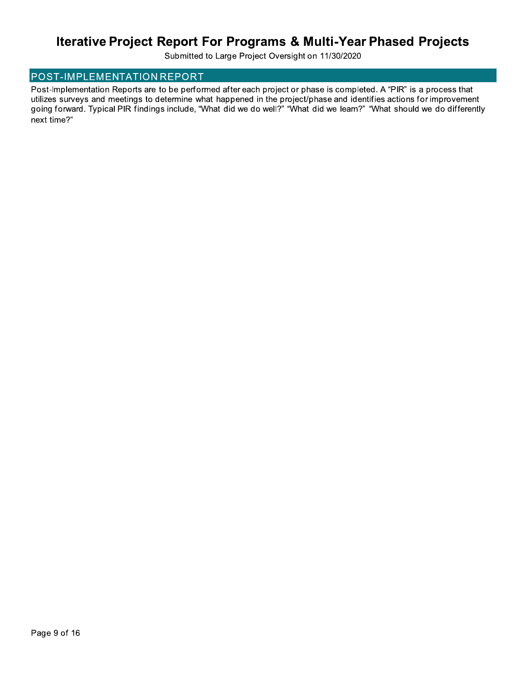Submitted to Large Project Oversight on 11/30/2020

### POST-IMPLEMENTATION REPORT

Post-Implementation Reports are to be performed after each project or phase is completed. A "PIR" is a process that utilizes surveys and meetings to determine what happened in the project/phase and identifies actions for improvement going forward. Typical PIR findings include, "What did we do well?" "What did we learn?" "What should we do differently next time?"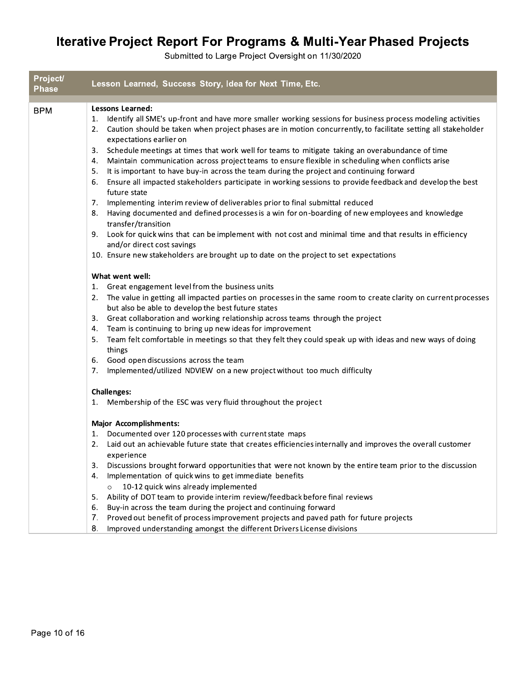| Project/<br><b>Phase</b> | Lesson Learned, Success Story, Idea for Next Time, Etc.                                                                                                                                                                                                                                                                                                                                                                                                                                                                                                                                                                                                                                                                       |
|--------------------------|-------------------------------------------------------------------------------------------------------------------------------------------------------------------------------------------------------------------------------------------------------------------------------------------------------------------------------------------------------------------------------------------------------------------------------------------------------------------------------------------------------------------------------------------------------------------------------------------------------------------------------------------------------------------------------------------------------------------------------|
|                          |                                                                                                                                                                                                                                                                                                                                                                                                                                                                                                                                                                                                                                                                                                                               |
| <b>BPM</b>               | Lessons Learned:<br>Identify all SME's up-front and have more smaller working sessions for business process modeling activities<br>1.<br>2. Caution should be taken when project phases are in motion concurrently, to facilitate setting all stakeholder<br>expectations earlier on<br>Schedule meetings at times that work well for teams to mitigate taking an overabundance of time<br>3.<br>Maintain communication across project teams to ensure flexible in scheduling when conflicts arise<br>4.<br>It is important to have buy-in across the team during the project and continuing forward<br>5.<br>Ensure all impacted stakeholders participate in working sessions to provide feedback and develop the best<br>6. |
|                          | future state                                                                                                                                                                                                                                                                                                                                                                                                                                                                                                                                                                                                                                                                                                                  |
|                          | Implementing interim review of deliverables prior to final submittal reduced<br>7.<br>Having documented and defined processes is a win for on-boarding of new employees and knowledge<br>8.                                                                                                                                                                                                                                                                                                                                                                                                                                                                                                                                   |
|                          | transfer/transition<br>Look for quick wins that can be implement with not cost and minimal time and that results in efficiency<br>9.<br>and/or direct cost savings                                                                                                                                                                                                                                                                                                                                                                                                                                                                                                                                                            |
|                          | 10. Ensure new stakeholders are brought up to date on the project to set expectations                                                                                                                                                                                                                                                                                                                                                                                                                                                                                                                                                                                                                                         |
|                          | What went well:                                                                                                                                                                                                                                                                                                                                                                                                                                                                                                                                                                                                                                                                                                               |
|                          | Great engagement level from the business units<br>1.                                                                                                                                                                                                                                                                                                                                                                                                                                                                                                                                                                                                                                                                          |
|                          | The value in getting all impacted parties on processes in the same room to create clarity on current processes<br>2.<br>but also be able to develop the best future states                                                                                                                                                                                                                                                                                                                                                                                                                                                                                                                                                    |
|                          | Great collaboration and working relationship across teams through the project<br>3.                                                                                                                                                                                                                                                                                                                                                                                                                                                                                                                                                                                                                                           |
|                          | Team is continuing to bring up new ideas for improvement<br>4.<br>Team felt comfortable in meetings so that they felt they could speak up with ideas and new ways of doing<br>5.<br>things                                                                                                                                                                                                                                                                                                                                                                                                                                                                                                                                    |
|                          | Good open discussions across the team<br>6.                                                                                                                                                                                                                                                                                                                                                                                                                                                                                                                                                                                                                                                                                   |
|                          | Implemented/utilized NDVIEW on a new project without too much difficulty<br>7.                                                                                                                                                                                                                                                                                                                                                                                                                                                                                                                                                                                                                                                |
|                          | <b>Challenges:</b>                                                                                                                                                                                                                                                                                                                                                                                                                                                                                                                                                                                                                                                                                                            |
|                          | 1. Membership of the ESC was very fluid throughout the project                                                                                                                                                                                                                                                                                                                                                                                                                                                                                                                                                                                                                                                                |
|                          | <b>Major Accomplishments:</b>                                                                                                                                                                                                                                                                                                                                                                                                                                                                                                                                                                                                                                                                                                 |
|                          | Documented over 120 processes with current state maps<br>1.                                                                                                                                                                                                                                                                                                                                                                                                                                                                                                                                                                                                                                                                   |
|                          | Laid out an achievable future state that creates efficiencies internally and improves the overall customer<br>2.<br>experience                                                                                                                                                                                                                                                                                                                                                                                                                                                                                                                                                                                                |
|                          | 3.<br>Discussions brought forward opportunities that were not known by the entire team prior to the discussion                                                                                                                                                                                                                                                                                                                                                                                                                                                                                                                                                                                                                |
|                          | Implementation of quick wins to get immediate benefits<br>4.                                                                                                                                                                                                                                                                                                                                                                                                                                                                                                                                                                                                                                                                  |
|                          | 10-12 quick wins already implemented                                                                                                                                                                                                                                                                                                                                                                                                                                                                                                                                                                                                                                                                                          |
|                          | Ability of DOT team to provide interim review/feedback before final reviews<br>5.<br>Buy-in across the team during the project and continuing forward<br>6.                                                                                                                                                                                                                                                                                                                                                                                                                                                                                                                                                                   |
|                          | Proved out benefit of process improvement projects and paved path for future projects<br>7.                                                                                                                                                                                                                                                                                                                                                                                                                                                                                                                                                                                                                                   |
|                          | 8.<br>Improved understanding amongst the different Drivers License divisions                                                                                                                                                                                                                                                                                                                                                                                                                                                                                                                                                                                                                                                  |
|                          |                                                                                                                                                                                                                                                                                                                                                                                                                                                                                                                                                                                                                                                                                                                               |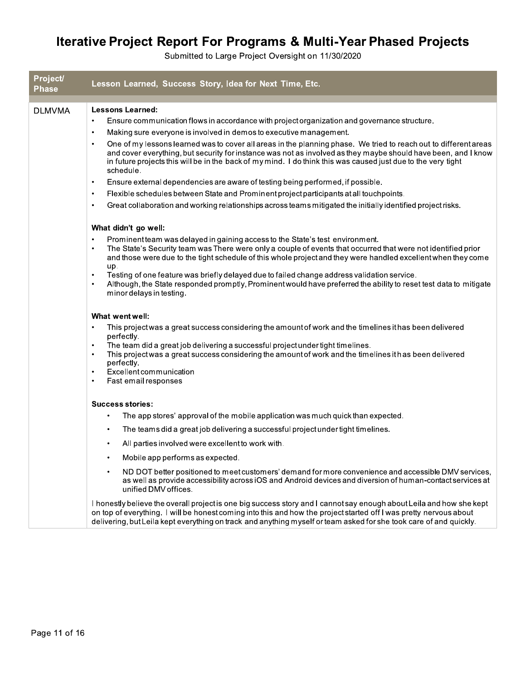| Project/<br><b>Phase</b> | Lesson Learned, Success Story, Idea for Next Time, Etc.                                                                                                                                                                                                                                                                                                                       |
|--------------------------|-------------------------------------------------------------------------------------------------------------------------------------------------------------------------------------------------------------------------------------------------------------------------------------------------------------------------------------------------------------------------------|
| <b>DLMVMA</b>            | <b>Lessons Learned:</b>                                                                                                                                                                                                                                                                                                                                                       |
|                          | Ensure communication flows in accordance with project organization and governance structure.                                                                                                                                                                                                                                                                                  |
|                          | Making sure everyone is involved in demos to executive management.<br>$\bullet$                                                                                                                                                                                                                                                                                               |
|                          | One of my lessons learned was to cover all areas in the planning phase. We tried to reach out to different areas<br>$\bullet$<br>and cover everything, but security for instance was not as involved as they maybe should have been, and I know<br>in future projects this will be in the back of my mind. I do think this was caused just due to the very tight<br>schedule. |
|                          | Ensure external dependencies are aware of testing being performed, if possible.<br>$\bullet$                                                                                                                                                                                                                                                                                  |
|                          | Flexible schedules between State and Prominent project participants at all touchpoints.<br>$\bullet$                                                                                                                                                                                                                                                                          |
|                          | Great collaboration and working relationships across teams mitigated the initially identified project risks.<br>$\bullet$                                                                                                                                                                                                                                                     |
|                          | What didn't go well:                                                                                                                                                                                                                                                                                                                                                          |
|                          | Prominent team was delayed in gaining access to the State's test environment.<br>$\bullet$<br>The State's Security team was There were only a couple of events that occurred that were not identified prior<br>$\bullet$<br>and those were due to the tight schedule of this whole project and they were handled excellent when they come<br>up.                              |
|                          | Testing of one feature was briefly delayed due to failed change address validation service.<br>$\bullet$<br>Although, the State responded promptly, Prominent would have preferred the ability to reset test data to mitigate<br>$\bullet$<br>minor delays in testing.                                                                                                        |
|                          | What went well:                                                                                                                                                                                                                                                                                                                                                               |
|                          | This project was a great success considering the amount of work and the timelines it has been delivered<br>perfectly.                                                                                                                                                                                                                                                         |
|                          | The team did a great job delivering a successful project under tight timelines.<br>$\bullet$<br>This project was a great success considering the amount of work and the timelines it has been delivered<br>$\bullet$<br>perfectly.                                                                                                                                            |
|                          | Excellent communication<br>$\bullet$<br>Fast email responses<br>$\bullet$                                                                                                                                                                                                                                                                                                     |
|                          | <b>Success stories:</b>                                                                                                                                                                                                                                                                                                                                                       |
|                          | The app stores' approval of the mobile application was much quick than expected.<br>٠                                                                                                                                                                                                                                                                                         |
|                          | The teams did a great job delivering a successful project under tight timelines.<br>٠                                                                                                                                                                                                                                                                                         |
|                          | All parties involved were excellent to work with.                                                                                                                                                                                                                                                                                                                             |
|                          | Mobile app performs as expected.                                                                                                                                                                                                                                                                                                                                              |
|                          | ND DOT better positioned to meet customers' demand for more convenience and accessible DMV services,<br>as well as provide accessibility across iOS and Android devices and diversion of human-contact services at<br>unified DMV offices.                                                                                                                                    |
|                          | I honestly believe the overall project is one big success story and I cannot say enough about Leila and how she kept<br>on top of everything. I will be honest coming into this and how the project started off I was pretty nervous about<br>delivering, but Leila kept everything on track and anything myself or team asked for she took care of and quickly.              |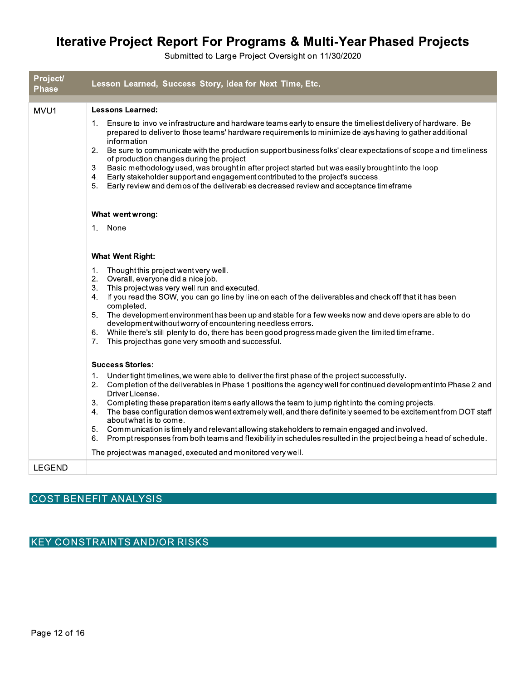Submitted to Large Project Oversight on 11/30/2020

| Project/<br><b>Phase</b> | Lesson Learned, Success Story, Idea for Next Time, Etc.                                                                                                                                                                                                                                                                                                                                                                                                                                                                                                                                                                                                                                                                                                                                      |
|--------------------------|----------------------------------------------------------------------------------------------------------------------------------------------------------------------------------------------------------------------------------------------------------------------------------------------------------------------------------------------------------------------------------------------------------------------------------------------------------------------------------------------------------------------------------------------------------------------------------------------------------------------------------------------------------------------------------------------------------------------------------------------------------------------------------------------|
| MVU1                     | <b>Lessons Learned:</b>                                                                                                                                                                                                                                                                                                                                                                                                                                                                                                                                                                                                                                                                                                                                                                      |
|                          | 1. Ensure to involve infrastructure and hardware teams early to ensure the timeliest delivery of hardware. Be<br>prepared to deliver to those teams' hardware requirements to minimize delays having to gather additional<br>information.<br>Be sure to communicate with the production support business folks' clear expectations of scope and timeliness<br>2.<br>of production changes during the project.<br>Basic methodology used, was brought in after project started but was easily brought into the loop.<br>3.<br>4. Early stakeholder support and engagement contributed to the project's success.<br>5.<br>Early review and demos of the deliverables decreased review and acceptance timeframe                                                                                 |
|                          | What went wrong:                                                                                                                                                                                                                                                                                                                                                                                                                                                                                                                                                                                                                                                                                                                                                                             |
|                          | 1. None                                                                                                                                                                                                                                                                                                                                                                                                                                                                                                                                                                                                                                                                                                                                                                                      |
|                          | <b>What Went Right:</b>                                                                                                                                                                                                                                                                                                                                                                                                                                                                                                                                                                                                                                                                                                                                                                      |
|                          | 1.<br>Thought this project went very well.<br>2. Overall, everyone did a nice job.<br>3.<br>This projectwas very well run and executed.<br>4. If you read the SOW, you can go line by line on each of the deliverables and check off that it has been<br>completed.<br>The development environment has been up and stable for a few weeks now and developers are able to do<br>5.<br>development without worry of encountering needless errors.<br>While there's still plenty to do, there has been good progress made given the limited timeframe.<br>6.<br>This project has gone very smooth and successful.<br>7.                                                                                                                                                                         |
|                          | <b>Success Stories:</b>                                                                                                                                                                                                                                                                                                                                                                                                                                                                                                                                                                                                                                                                                                                                                                      |
|                          | Under tight timelines, we were able to deliver the first phase of the project successfully.<br>1.<br>2. Completion of the deliverables in Phase 1 positions the agency well for continued development into Phase 2 and<br>Driver License.<br>Completing these preparation items early allows the team to jump right into the coming projects.<br>3.<br>4. The base configuration demos went extremely well, and there definitely seemed to be excitement from DOT staff<br>about what is to come.<br>Communication is timely and relevant allowing stakeholders to remain engaged and involved.<br>5.<br>Prompt responses from both teams and flexibility in schedules resulted in the project being a head of schedule.<br>6.<br>The project was managed, executed and monitored very well. |
| <b>LEGEND</b>            |                                                                                                                                                                                                                                                                                                                                                                                                                                                                                                                                                                                                                                                                                                                                                                                              |

### **COST BENEFIT ANALYSIS**

**KEY CONSTRAINTS AND/OR RISKS**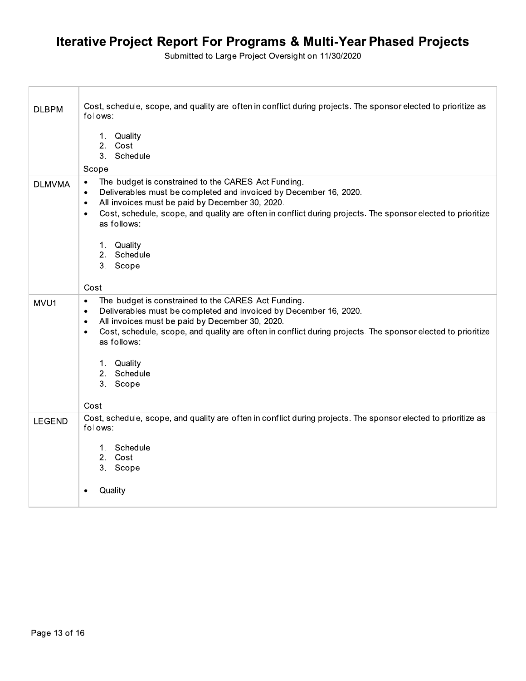Submitted to Large Project Oversight on 11/30/2020

| <b>DLBPM</b>  | Cost, schedule, scope, and quality are often in conflict during projects. The sponsor elected to prioritize as<br>follows:                                                                                                                                                                                                                                    |
|---------------|---------------------------------------------------------------------------------------------------------------------------------------------------------------------------------------------------------------------------------------------------------------------------------------------------------------------------------------------------------------|
|               | 1. Quality<br>2.<br>Cost<br>3. Schedule                                                                                                                                                                                                                                                                                                                       |
|               | Scope                                                                                                                                                                                                                                                                                                                                                         |
| <b>DLMVMA</b> | The budget is constrained to the CARES Act Funding.<br>$\bullet$<br>Deliverables must be completed and invoiced by December 16, 2020.<br>$\bullet$<br>All invoices must be paid by December 30, 2020.<br>$\bullet$                                                                                                                                            |
|               | Cost, schedule, scope, and quality are often in conflict during projects. The sponsor elected to prioritize<br>$\bullet$<br>as follows:                                                                                                                                                                                                                       |
|               | 1. Quality                                                                                                                                                                                                                                                                                                                                                    |
|               | 2. Schedule<br>3. Scope                                                                                                                                                                                                                                                                                                                                       |
|               |                                                                                                                                                                                                                                                                                                                                                               |
|               | Cost                                                                                                                                                                                                                                                                                                                                                          |
| MVU1          | The budget is constrained to the CARES Act Funding.<br>$\bullet$<br>Deliverables must be completed and invoiced by December 16, 2020.<br>$\bullet$<br>All invoices must be paid by December 30, 2020.<br>$\bullet$<br>Cost, schedule, scope, and quality are often in conflict during projects. The sponsor elected to prioritize<br>$\bullet$<br>as follows: |
|               | 1. Quality                                                                                                                                                                                                                                                                                                                                                    |
|               | 2. Schedule                                                                                                                                                                                                                                                                                                                                                   |
|               | 3.<br>Scope                                                                                                                                                                                                                                                                                                                                                   |
|               | Cost                                                                                                                                                                                                                                                                                                                                                          |
| <b>LEGEND</b> | Cost, schedule, scope, and quality are often in conflict during projects. The sponsor elected to prioritize as<br>follows:                                                                                                                                                                                                                                    |
|               | 1. Schedule<br>2. Cost                                                                                                                                                                                                                                                                                                                                        |
|               | 3. Scope                                                                                                                                                                                                                                                                                                                                                      |
|               | Quality<br>$\bullet$                                                                                                                                                                                                                                                                                                                                          |

Г

T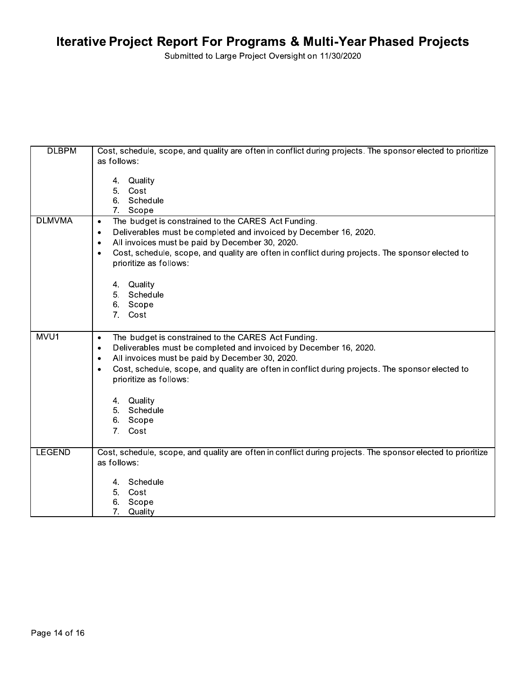| <b>DLBPM</b>  | Cost, schedule, scope, and quality are often in conflict during projects. The sponsor elected to prioritize   |
|---------------|---------------------------------------------------------------------------------------------------------------|
|               | as follows:                                                                                                   |
|               |                                                                                                               |
|               | 4. Quality                                                                                                    |
|               | Cost<br>5.                                                                                                    |
|               | 6. Schedule                                                                                                   |
|               | 7. Scope                                                                                                      |
| <b>DLMVMA</b> | The budget is constrained to the CARES Act Funding.<br>$\bullet$                                              |
|               | Deliverables must be completed and invoiced by December 16, 2020.<br>$\bullet$                                |
|               | All invoices must be paid by December 30, 2020.<br>$\bullet$                                                  |
|               | Cost, schedule, scope, and quality are often in conflict during projects. The sponsor elected to<br>٠         |
|               | prioritize as follows:                                                                                        |
|               |                                                                                                               |
|               | 4. Quality                                                                                                    |
|               | 5.<br>Schedule                                                                                                |
|               | 6. Scope                                                                                                      |
|               | 7.<br>Cost                                                                                                    |
|               |                                                                                                               |
| MVU1          | The budget is constrained to the CARES Act Funding.<br>$\bullet$                                              |
|               | Deliverables must be completed and invoiced by December 16, 2020.<br>٠                                        |
|               | All invoices must be paid by December 30, 2020.<br>٠                                                          |
|               | Cost, schedule, scope, and quality are often in conflict during projects. The sponsor elected to<br>$\bullet$ |
|               | prioritize as follows:                                                                                        |
|               |                                                                                                               |
|               | 4. Quality                                                                                                    |
|               | Schedule<br>5.                                                                                                |
|               | 6. Scope                                                                                                      |
|               | 7. Cost                                                                                                       |
|               |                                                                                                               |
| <b>LEGEND</b> | Cost, schedule, scope, and quality are often in conflict during projects. The sponsor elected to prioritize   |
|               | as follows:                                                                                                   |
|               |                                                                                                               |
|               | 4. Schedule                                                                                                   |
|               | 5.<br>Cost                                                                                                    |
|               | Scope<br>6.                                                                                                   |
|               | 7.<br>Quality                                                                                                 |